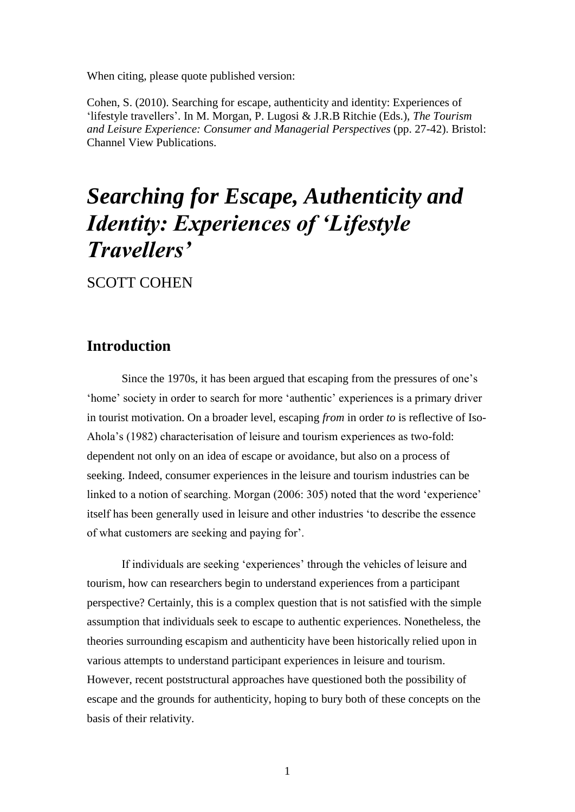When citing, please quote published version:

Cohen, S. (2010). Searching for escape, authenticity and identity: Experiences of "lifestyle travellers". In M. Morgan, P. Lugosi & J.R.B Ritchie (Eds.), *The Tourism and Leisure Experience: Consumer and Managerial Perspectives* (pp. 27-42). Bristol: Channel View Publications.

# *Searching for Escape, Authenticity and Identity: Experiences of 'Lifestyle Travellers'*

SCOTT COHEN

#### **Introduction**

Since the 1970s, it has been argued that escaping from the pressures of one"s "home" society in order to search for more "authentic" experiences is a primary driver in tourist motivation. On a broader level, escaping *from* in order *to* is reflective of Iso-Ahola"s (1982) characterisation of leisure and tourism experiences as two-fold: dependent not only on an idea of escape or avoidance, but also on a process of seeking. Indeed, consumer experiences in the leisure and tourism industries can be linked to a notion of searching. Morgan (2006: 305) noted that the word 'experience' itself has been generally used in leisure and other industries "to describe the essence of what customers are seeking and paying for".

If individuals are seeking "experiences" through the vehicles of leisure and tourism, how can researchers begin to understand experiences from a participant perspective? Certainly, this is a complex question that is not satisfied with the simple assumption that individuals seek to escape to authentic experiences. Nonetheless, the theories surrounding escapism and authenticity have been historically relied upon in various attempts to understand participant experiences in leisure and tourism. However, recent poststructural approaches have questioned both the possibility of escape and the grounds for authenticity, hoping to bury both of these concepts on the basis of their relativity.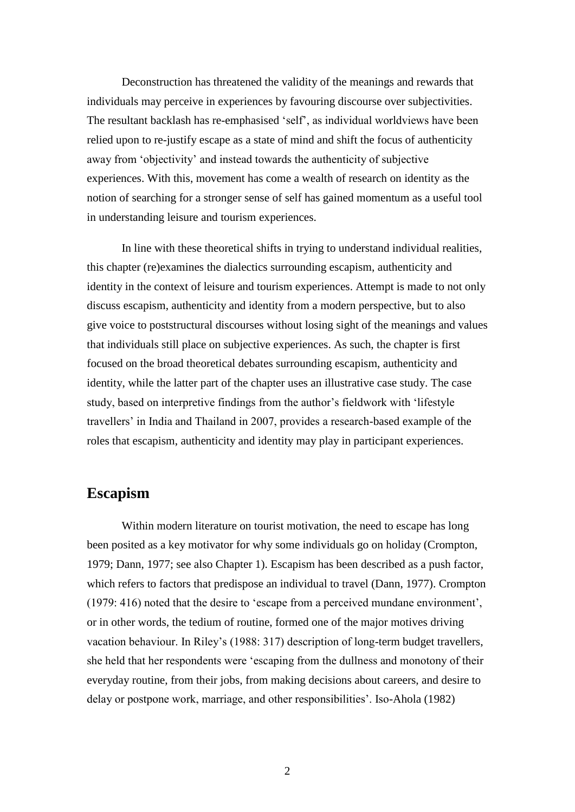Deconstruction has threatened the validity of the meanings and rewards that individuals may perceive in experiences by favouring discourse over subjectivities. The resultant backlash has re-emphasised "self", as individual worldviews have been relied upon to re-justify escape as a state of mind and shift the focus of authenticity away from "objectivity" and instead towards the authenticity of subjective experiences. With this, movement has come a wealth of research on identity as the notion of searching for a stronger sense of self has gained momentum as a useful tool in understanding leisure and tourism experiences.

In line with these theoretical shifts in trying to understand individual realities, this chapter (re)examines the dialectics surrounding escapism, authenticity and identity in the context of leisure and tourism experiences. Attempt is made to not only discuss escapism, authenticity and identity from a modern perspective, but to also give voice to poststructural discourses without losing sight of the meanings and values that individuals still place on subjective experiences. As such, the chapter is first focused on the broad theoretical debates surrounding escapism, authenticity and identity, while the latter part of the chapter uses an illustrative case study. The case study, based on interpretive findings from the author"s fieldwork with "lifestyle travellers" in India and Thailand in 2007, provides a research-based example of the roles that escapism, authenticity and identity may play in participant experiences.

## **Escapism**

Within modern literature on tourist motivation, the need to escape has long been posited as a key motivator for why some individuals go on holiday (Crompton, 1979; Dann, 1977; see also Chapter 1). Escapism has been described as a push factor, which refers to factors that predispose an individual to travel (Dann, 1977). Crompton (1979: 416) noted that the desire to "escape from a perceived mundane environment", or in other words, the tedium of routine, formed one of the major motives driving vacation behaviour. In Riley"s (1988: 317) description of long-term budget travellers, she held that her respondents were "escaping from the dullness and monotony of their everyday routine, from their jobs, from making decisions about careers, and desire to delay or postpone work, marriage, and other responsibilities". Iso-Ahola (1982)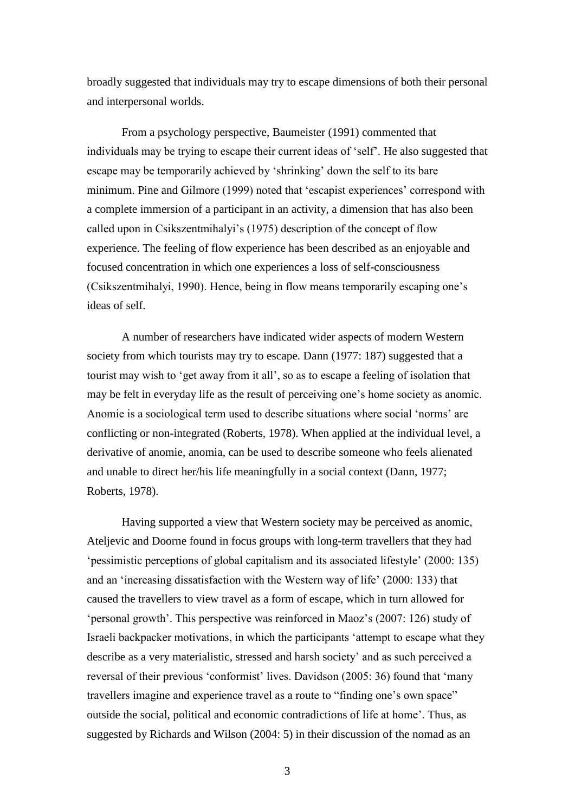broadly suggested that individuals may try to escape dimensions of both their personal and interpersonal worlds.

From a psychology perspective, Baumeister (1991) commented that individuals may be trying to escape their current ideas of "self". He also suggested that escape may be temporarily achieved by 'shrinking' down the self to its bare minimum. Pine and Gilmore (1999) noted that 'escapist experiences' correspond with a complete immersion of a participant in an activity, a dimension that has also been called upon in Csikszentmihalyi"s (1975) description of the concept of flow experience. The feeling of flow experience has been described as an enjoyable and focused concentration in which one experiences a loss of self-consciousness (Csikszentmihalyi, 1990). Hence, being in flow means temporarily escaping one"s ideas of self.

A number of researchers have indicated wider aspects of modern Western society from which tourists may try to escape. Dann (1977: 187) suggested that a tourist may wish to "get away from it all", so as to escape a feeling of isolation that may be felt in everyday life as the result of perceiving one's home society as anomic. Anomie is a sociological term used to describe situations where social "norms" are conflicting or non-integrated (Roberts, 1978). When applied at the individual level, a derivative of anomie, anomia, can be used to describe someone who feels alienated and unable to direct her/his life meaningfully in a social context (Dann, 1977; Roberts, 1978).

Having supported a view that Western society may be perceived as anomic, Ateljevic and Doorne found in focus groups with long-term travellers that they had "pessimistic perceptions of global capitalism and its associated lifestyle" (2000: 135) and an "increasing dissatisfaction with the Western way of life" (2000: 133) that caused the travellers to view travel as a form of escape, which in turn allowed for "personal growth". This perspective was reinforced in Maoz"s (2007: 126) study of Israeli backpacker motivations, in which the participants "attempt to escape what they describe as a very materialistic, stressed and harsh society' and as such perceived a reversal of their previous 'conformist' lives. Davidson (2005: 36) found that 'many travellers imagine and experience travel as a route to "finding one's own space" outside the social, political and economic contradictions of life at home". Thus, as suggested by Richards and Wilson (2004: 5) in their discussion of the nomad as an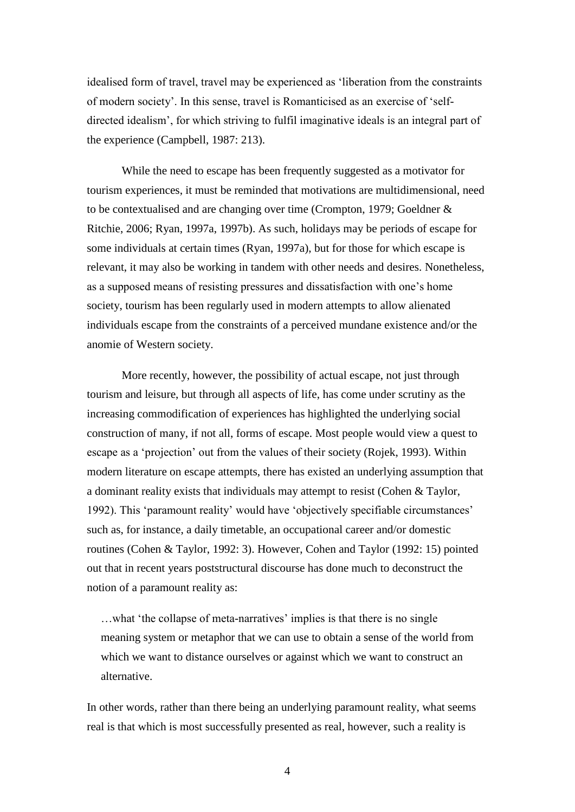idealised form of travel, travel may be experienced as "liberation from the constraints of modern society". In this sense, travel is Romanticised as an exercise of "selfdirected idealism", for which striving to fulfil imaginative ideals is an integral part of the experience (Campbell, 1987: 213).

While the need to escape has been frequently suggested as a motivator for tourism experiences, it must be reminded that motivations are multidimensional, need to be contextualised and are changing over time (Crompton, 1979; Goeldner & Ritchie, 2006; Ryan, 1997a, 1997b). As such, holidays may be periods of escape for some individuals at certain times (Ryan, 1997a), but for those for which escape is relevant, it may also be working in tandem with other needs and desires. Nonetheless, as a supposed means of resisting pressures and dissatisfaction with one"s home society, tourism has been regularly used in modern attempts to allow alienated individuals escape from the constraints of a perceived mundane existence and/or the anomie of Western society.

More recently, however, the possibility of actual escape, not just through tourism and leisure, but through all aspects of life, has come under scrutiny as the increasing commodification of experiences has highlighted the underlying social construction of many, if not all, forms of escape. Most people would view a quest to escape as a "projection" out from the values of their society (Rojek, 1993). Within modern literature on escape attempts, there has existed an underlying assumption that a dominant reality exists that individuals may attempt to resist (Cohen & Taylor, 1992). This "paramount reality" would have "objectively specifiable circumstances" such as, for instance, a daily timetable, an occupational career and/or domestic routines (Cohen & Taylor, 1992: 3). However, Cohen and Taylor (1992: 15) pointed out that in recent years poststructural discourse has done much to deconstruct the notion of a paramount reality as:

... what 'the collapse of meta-narratives' implies is that there is no single meaning system or metaphor that we can use to obtain a sense of the world from which we want to distance ourselves or against which we want to construct an alternative.

In other words, rather than there being an underlying paramount reality, what seems real is that which is most successfully presented as real, however, such a reality is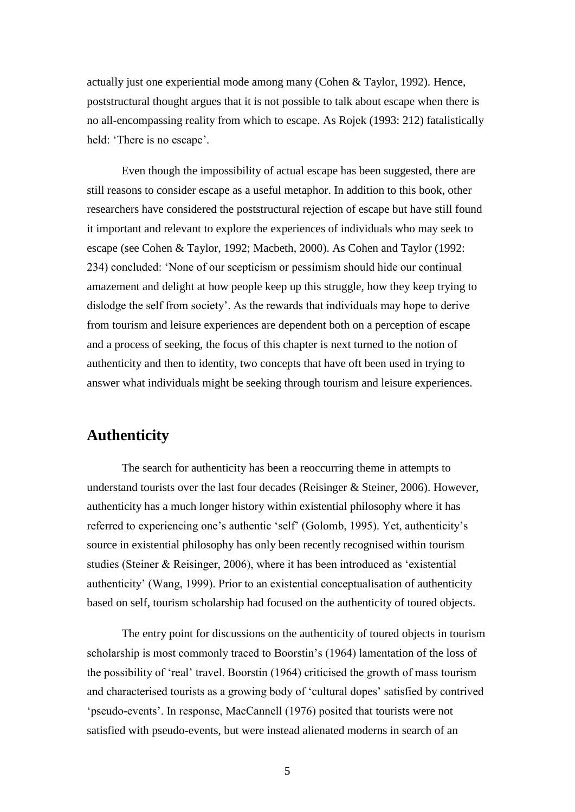actually just one experiential mode among many (Cohen & Taylor, 1992). Hence, poststructural thought argues that it is not possible to talk about escape when there is no all-encompassing reality from which to escape. As Rojek (1993: 212) fatalistically held: 'There is no escape'.

Even though the impossibility of actual escape has been suggested, there are still reasons to consider escape as a useful metaphor. In addition to this book, other researchers have considered the poststructural rejection of escape but have still found it important and relevant to explore the experiences of individuals who may seek to escape (see Cohen & Taylor, 1992; Macbeth, 2000). As Cohen and Taylor (1992: 234) concluded: "None of our scepticism or pessimism should hide our continual amazement and delight at how people keep up this struggle, how they keep trying to dislodge the self from society". As the rewards that individuals may hope to derive from tourism and leisure experiences are dependent both on a perception of escape and a process of seeking, the focus of this chapter is next turned to the notion of authenticity and then to identity, two concepts that have oft been used in trying to answer what individuals might be seeking through tourism and leisure experiences.

## **Authenticity**

The search for authenticity has been a reoccurring theme in attempts to understand tourists over the last four decades (Reisinger & Steiner, 2006). However, authenticity has a much longer history within existential philosophy where it has referred to experiencing one's authentic 'self' (Golomb, 1995). Yet, authenticity's source in existential philosophy has only been recently recognised within tourism studies (Steiner & Reisinger, 2006), where it has been introduced as "existential authenticity" (Wang, 1999). Prior to an existential conceptualisation of authenticity based on self, tourism scholarship had focused on the authenticity of toured objects.

The entry point for discussions on the authenticity of toured objects in tourism scholarship is most commonly traced to Boorstin"s (1964) lamentation of the loss of the possibility of "real" travel. Boorstin (1964) criticised the growth of mass tourism and characterised tourists as a growing body of "cultural dopes" satisfied by contrived "pseudo-events". In response, MacCannell (1976) posited that tourists were not satisfied with pseudo-events, but were instead alienated moderns in search of an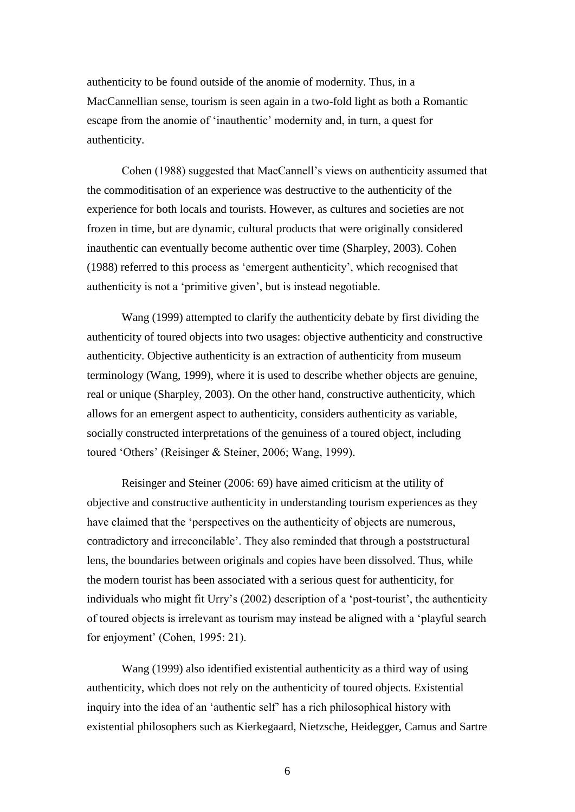authenticity to be found outside of the anomie of modernity. Thus, in a MacCannellian sense, tourism is seen again in a two-fold light as both a Romantic escape from the anomie of 'inauthentic' modernity and, in turn, a quest for authenticity.

Cohen (1988) suggested that MacCannell"s views on authenticity assumed that the commoditisation of an experience was destructive to the authenticity of the experience for both locals and tourists. However, as cultures and societies are not frozen in time, but are dynamic, cultural products that were originally considered inauthentic can eventually become authentic over time (Sharpley, 2003). Cohen (1988) referred to this process as "emergent authenticity", which recognised that authenticity is not a "primitive given", but is instead negotiable.

Wang (1999) attempted to clarify the authenticity debate by first dividing the authenticity of toured objects into two usages: objective authenticity and constructive authenticity. Objective authenticity is an extraction of authenticity from museum terminology (Wang, 1999), where it is used to describe whether objects are genuine, real or unique (Sharpley, 2003). On the other hand, constructive authenticity, which allows for an emergent aspect to authenticity, considers authenticity as variable, socially constructed interpretations of the genuiness of a toured object, including toured "Others" (Reisinger & Steiner, 2006; Wang, 1999).

Reisinger and Steiner (2006: 69) have aimed criticism at the utility of objective and constructive authenticity in understanding tourism experiences as they have claimed that the "perspectives on the authenticity of objects are numerous, contradictory and irreconcilable". They also reminded that through a poststructural lens, the boundaries between originals and copies have been dissolved. Thus, while the modern tourist has been associated with a serious quest for authenticity, for individuals who might fit Urry's (2002) description of a 'post-tourist', the authenticity of toured objects is irrelevant as tourism may instead be aligned with a "playful search for enjoyment' (Cohen, 1995: 21).

Wang (1999) also identified existential authenticity as a third way of using authenticity, which does not rely on the authenticity of toured objects. Existential inquiry into the idea of an "authentic self" has a rich philosophical history with existential philosophers such as Kierkegaard, Nietzsche, Heidegger, Camus and Sartre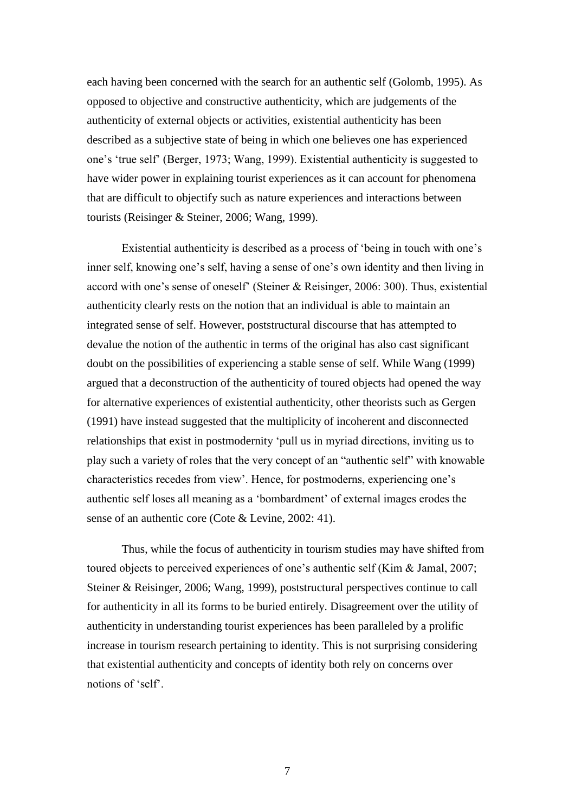each having been concerned with the search for an authentic self (Golomb, 1995). As opposed to objective and constructive authenticity, which are judgements of the authenticity of external objects or activities, existential authenticity has been described as a subjective state of being in which one believes one has experienced one"s "true self" (Berger, 1973; Wang, 1999). Existential authenticity is suggested to have wider power in explaining tourist experiences as it can account for phenomena that are difficult to objectify such as nature experiences and interactions between tourists (Reisinger & Steiner, 2006; Wang, 1999).

Existential authenticity is described as a process of "being in touch with one"s inner self, knowing one's self, having a sense of one's own identity and then living in accord with one's sense of oneself' (Steiner & Reisinger, 2006: 300). Thus, existential authenticity clearly rests on the notion that an individual is able to maintain an integrated sense of self. However, poststructural discourse that has attempted to devalue the notion of the authentic in terms of the original has also cast significant doubt on the possibilities of experiencing a stable sense of self. While Wang (1999) argued that a deconstruction of the authenticity of toured objects had opened the way for alternative experiences of existential authenticity, other theorists such as Gergen (1991) have instead suggested that the multiplicity of incoherent and disconnected relationships that exist in postmodernity "pull us in myriad directions, inviting us to play such a variety of roles that the very concept of an "authentic self" with knowable characteristics recedes from view". Hence, for postmoderns, experiencing one"s authentic self loses all meaning as a "bombardment" of external images erodes the sense of an authentic core (Cote & Levine, 2002: 41).

Thus, while the focus of authenticity in tourism studies may have shifted from toured objects to perceived experiences of one"s authentic self (Kim & Jamal, 2007; Steiner & Reisinger, 2006; Wang, 1999), poststructural perspectives continue to call for authenticity in all its forms to be buried entirely. Disagreement over the utility of authenticity in understanding tourist experiences has been paralleled by a prolific increase in tourism research pertaining to identity. This is not surprising considering that existential authenticity and concepts of identity both rely on concerns over notions of "self".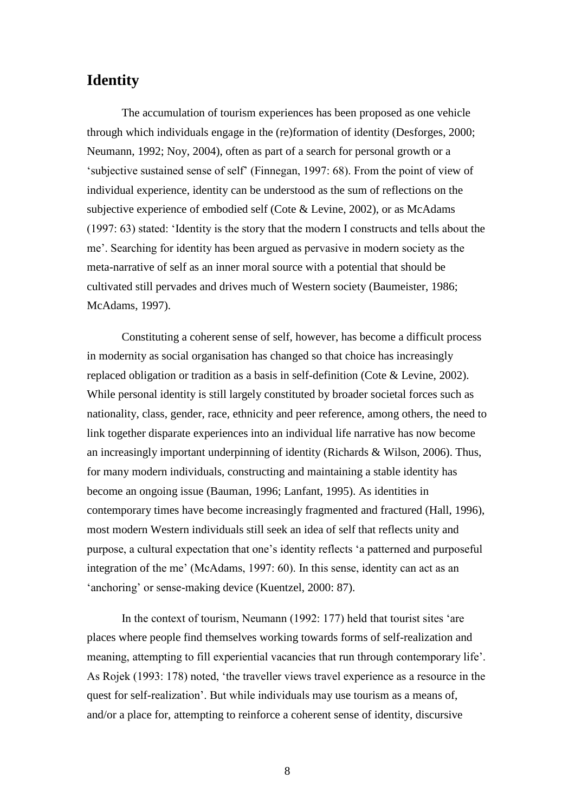## **Identity**

The accumulation of tourism experiences has been proposed as one vehicle through which individuals engage in the (re)formation of identity (Desforges, 2000; Neumann, 1992; Noy, 2004), often as part of a search for personal growth or a "subjective sustained sense of self" (Finnegan, 1997: 68). From the point of view of individual experience, identity can be understood as the sum of reflections on the subjective experience of embodied self (Cote & Levine, 2002), or as McAdams (1997: 63) stated: "Identity is the story that the modern I constructs and tells about the me". Searching for identity has been argued as pervasive in modern society as the meta-narrative of self as an inner moral source with a potential that should be cultivated still pervades and drives much of Western society (Baumeister, 1986; McAdams, 1997).

Constituting a coherent sense of self, however, has become a difficult process in modernity as social organisation has changed so that choice has increasingly replaced obligation or tradition as a basis in self-definition (Cote & Levine, 2002). While personal identity is still largely constituted by broader societal forces such as nationality, class, gender, race, ethnicity and peer reference, among others, the need to link together disparate experiences into an individual life narrative has now become an increasingly important underpinning of identity (Richards & Wilson, 2006). Thus, for many modern individuals, constructing and maintaining a stable identity has become an ongoing issue (Bauman, 1996; Lanfant, 1995). As identities in contemporary times have become increasingly fragmented and fractured (Hall, 1996), most modern Western individuals still seek an idea of self that reflects unity and purpose, a cultural expectation that one"s identity reflects "a patterned and purposeful integration of the me' (McAdams, 1997: 60). In this sense, identity can act as an 'anchoring' or sense-making device (Kuentzel, 2000: 87).

In the context of tourism, Neumann (1992: 177) held that tourist sites "are places where people find themselves working towards forms of self-realization and meaning, attempting to fill experiential vacancies that run through contemporary life". As Rojek (1993: 178) noted, "the traveller views travel experience as a resource in the quest for self-realization". But while individuals may use tourism as a means of, and/or a place for, attempting to reinforce a coherent sense of identity, discursive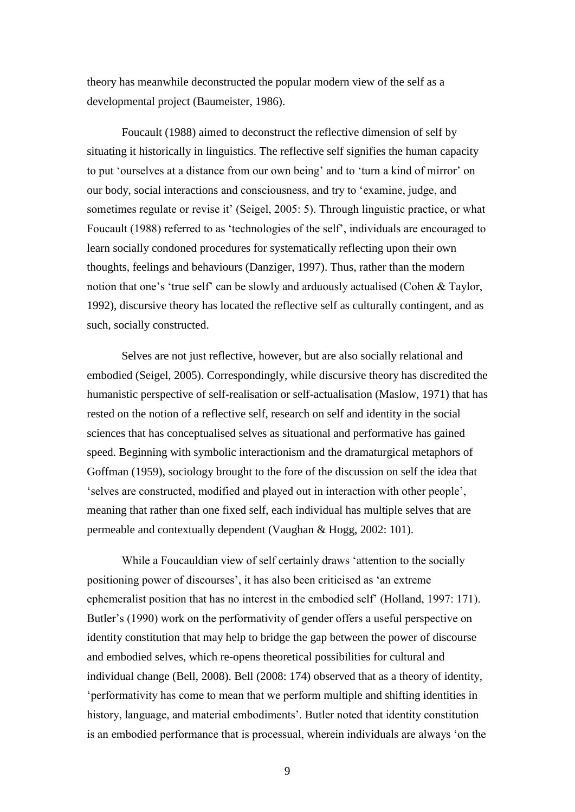theory has meanwhile deconstructed the popular modern view of the self as a developmental project (Baumeister, 1986).

Foucault (1988) aimed to deconstruct the reflective dimension of self by situating it historically in linguistics. The reflective self signifies the human capacity to put 'ourselves at a distance from our own being' and to 'turn a kind of mirror' on our body, social interactions and consciousness, and try to "examine, judge, and sometimes regulate or revise it' (Seigel, 2005: 5). Through linguistic practice, or what Foucault (1988) referred to as "technologies of the self", individuals are encouraged to learn socially condoned procedures for systematically reflecting upon their own thoughts, feelings and behaviours (Danziger, 1997). Thus, rather than the modern notion that one's 'true self' can be slowly and arduously actualised (Cohen  $\&$  Taylor, 1992), discursive theory has located the reflective self as culturally contingent, and as such, socially constructed.

Selves are not just reflective, however, but are also socially relational and embodied (Seigel, 2005). Correspondingly, while discursive theory has discredited the humanistic perspective of self-realisation or self-actualisation (Maslow, 1971) that has rested on the notion of a reflective self, research on self and identity in the social sciences that has conceptualised selves as situational and performative has gained speed. Beginning with symbolic interactionism and the dramaturgical metaphors of Goffman (1959), sociology brought to the fore of the discussion on self the idea that "selves are constructed, modified and played out in interaction with other people", meaning that rather than one fixed self, each individual has multiple selves that are permeable and contextually dependent (Vaughan & Hogg, 2002: 101).

While a Foucauldian view of self certainly draws "attention to the socially positioning power of discourses", it has also been criticised as "an extreme ephemeralist position that has no interest in the embodied self" (Holland, 1997: 171). Butler's (1990) work on the performativity of gender offers a useful perspective on identity constitution that may help to bridge the gap between the power of discourse and embodied selves, which re-opens theoretical possibilities for cultural and individual change (Bell, 2008). Bell (2008: 174) observed that as a theory of identity, "performativity has come to mean that we perform multiple and shifting identities in history, language, and material embodiments'. Butler noted that identity constitution is an embodied performance that is processual, wherein individuals are always "on the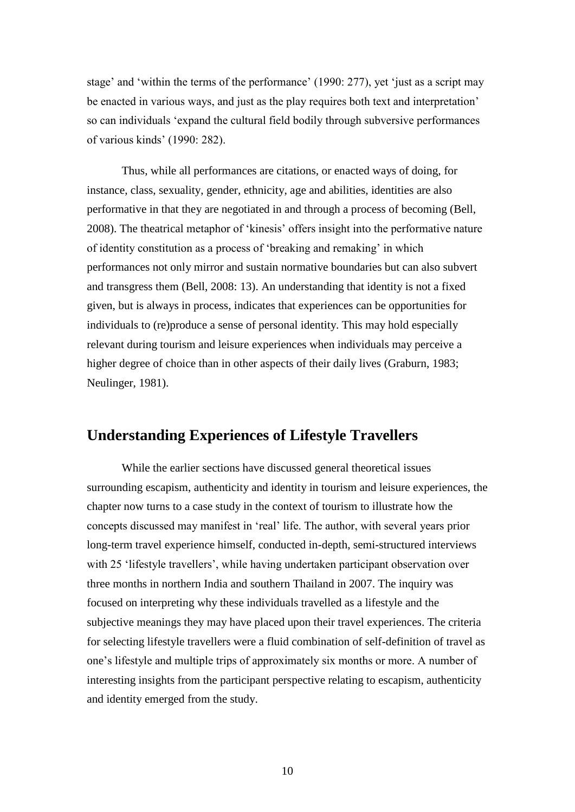stage' and 'within the terms of the performance' (1990: 277), yet 'just as a script may be enacted in various ways, and just as the play requires both text and interpretation' so can individuals "expand the cultural field bodily through subversive performances of various kinds" (1990: 282).

Thus, while all performances are citations, or enacted ways of doing, for instance, class, sexuality, gender, ethnicity, age and abilities, identities are also performative in that they are negotiated in and through a process of becoming (Bell, 2008). The theatrical metaphor of "kinesis" offers insight into the performative nature of identity constitution as a process of "breaking and remaking" in which performances not only mirror and sustain normative boundaries but can also subvert and transgress them (Bell, 2008: 13). An understanding that identity is not a fixed given, but is always in process, indicates that experiences can be opportunities for individuals to (re)produce a sense of personal identity. This may hold especially relevant during tourism and leisure experiences when individuals may perceive a higher degree of choice than in other aspects of their daily lives (Graburn, 1983; Neulinger, 1981).

## **Understanding Experiences of Lifestyle Travellers**

While the earlier sections have discussed general theoretical issues surrounding escapism, authenticity and identity in tourism and leisure experiences, the chapter now turns to a case study in the context of tourism to illustrate how the concepts discussed may manifest in "real" life. The author, with several years prior long-term travel experience himself, conducted in-depth, semi-structured interviews with 25 'lifestyle travellers', while having undertaken participant observation over three months in northern India and southern Thailand in 2007. The inquiry was focused on interpreting why these individuals travelled as a lifestyle and the subjective meanings they may have placed upon their travel experiences. The criteria for selecting lifestyle travellers were a fluid combination of self-definition of travel as one"s lifestyle and multiple trips of approximately six months or more. A number of interesting insights from the participant perspective relating to escapism, authenticity and identity emerged from the study.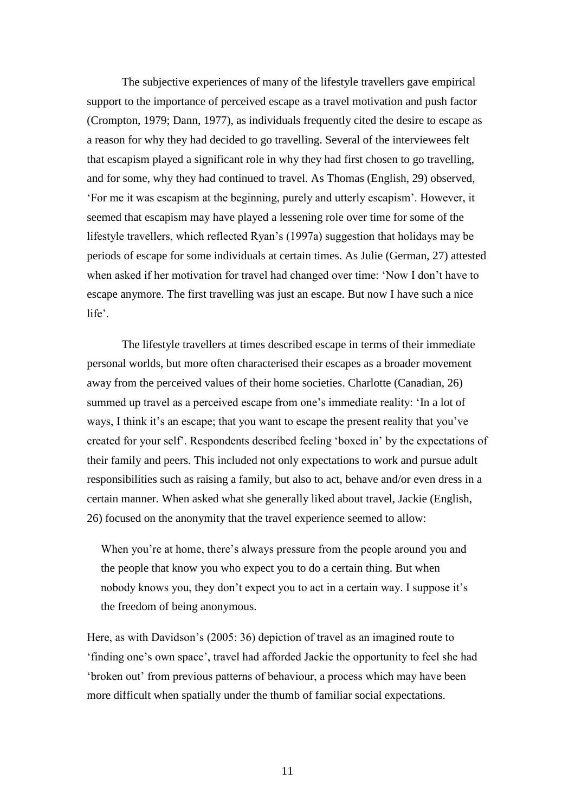The subjective experiences of many of the lifestyle travellers gave empirical support to the importance of perceived escape as a travel motivation and push factor (Crompton, 1979; Dann, 1977), as individuals frequently cited the desire to escape as a reason for why they had decided to go travelling. Several of the interviewees felt that escapism played a significant role in why they had first chosen to go travelling, and for some, why they had continued to travel. As Thomas (English, 29) observed, "For me it was escapism at the beginning, purely and utterly escapism". However, it seemed that escapism may have played a lessening role over time for some of the lifestyle travellers, which reflected Ryan"s (1997a) suggestion that holidays may be periods of escape for some individuals at certain times. As Julie (German, 27) attested when asked if her motivation for travel had changed over time: "Now I don"t have to escape anymore. The first travelling was just an escape. But now I have such a nice life'.

The lifestyle travellers at times described escape in terms of their immediate personal worlds, but more often characterised their escapes as a broader movement away from the perceived values of their home societies. Charlotte (Canadian, 26) summed up travel as a perceived escape from one"s immediate reality: "In a lot of ways, I think it's an escape; that you want to escape the present reality that you've created for your self". Respondents described feeling "boxed in" by the expectations of their family and peers. This included not only expectations to work and pursue adult responsibilities such as raising a family, but also to act, behave and/or even dress in a certain manner. When asked what she generally liked about travel, Jackie (English, 26) focused on the anonymity that the travel experience seemed to allow:

When you're at home, there's always pressure from the people around you and the people that know you who expect you to do a certain thing. But when nobody knows you, they don"t expect you to act in a certain way. I suppose it"s the freedom of being anonymous.

Here, as with Davidson"s (2005: 36) depiction of travel as an imagined route to "finding one"s own space", travel had afforded Jackie the opportunity to feel she had "broken out" from previous patterns of behaviour, a process which may have been more difficult when spatially under the thumb of familiar social expectations.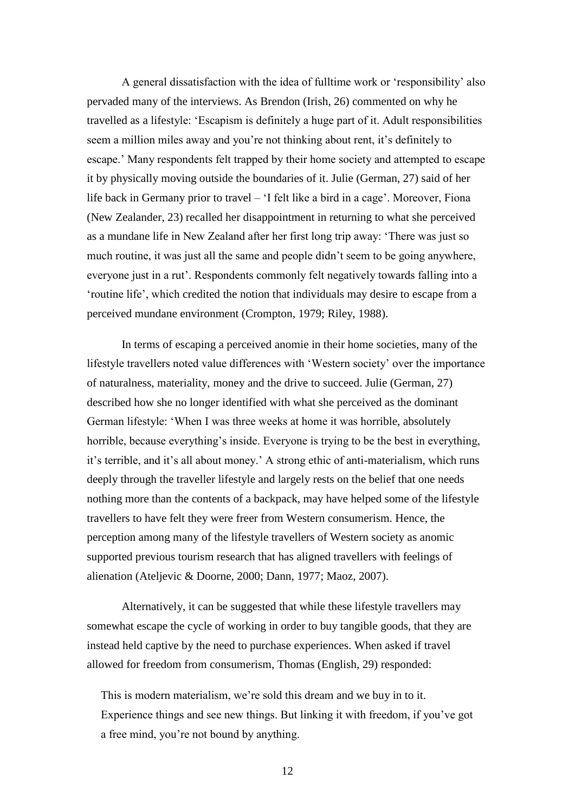A general dissatisfaction with the idea of fulltime work or "responsibility" also pervaded many of the interviews. As Brendon (Irish, 26) commented on why he travelled as a lifestyle: "Escapism is definitely a huge part of it. Adult responsibilities seem a million miles away and you"re not thinking about rent, it"s definitely to escape." Many respondents felt trapped by their home society and attempted to escape it by physically moving outside the boundaries of it. Julie (German, 27) said of her life back in Germany prior to travel – 'I felt like a bird in a cage'. Moreover, Fiona (New Zealander, 23) recalled her disappointment in returning to what she perceived as a mundane life in New Zealand after her first long trip away: "There was just so much routine, it was just all the same and people didn"t seem to be going anywhere, everyone just in a rut". Respondents commonly felt negatively towards falling into a "routine life", which credited the notion that individuals may desire to escape from a perceived mundane environment (Crompton, 1979; Riley, 1988).

In terms of escaping a perceived anomie in their home societies, many of the lifestyle travellers noted value differences with "Western society" over the importance of naturalness, materiality, money and the drive to succeed. Julie (German, 27) described how she no longer identified with what she perceived as the dominant German lifestyle: "When I was three weeks at home it was horrible, absolutely horrible, because everything's inside. Everyone is trying to be the best in everything, it's terrible, and it's all about money.' A strong ethic of anti-materialism, which runs deeply through the traveller lifestyle and largely rests on the belief that one needs nothing more than the contents of a backpack, may have helped some of the lifestyle travellers to have felt they were freer from Western consumerism. Hence, the perception among many of the lifestyle travellers of Western society as anomic supported previous tourism research that has aligned travellers with feelings of alienation (Ateljevic & Doorne, 2000; Dann, 1977; Maoz, 2007).

Alternatively, it can be suggested that while these lifestyle travellers may somewhat escape the cycle of working in order to buy tangible goods, that they are instead held captive by the need to purchase experiences. When asked if travel allowed for freedom from consumerism, Thomas (English, 29) responded:

This is modern materialism, we're sold this dream and we buy in to it. Experience things and see new things. But linking it with freedom, if you"ve got a free mind, you"re not bound by anything.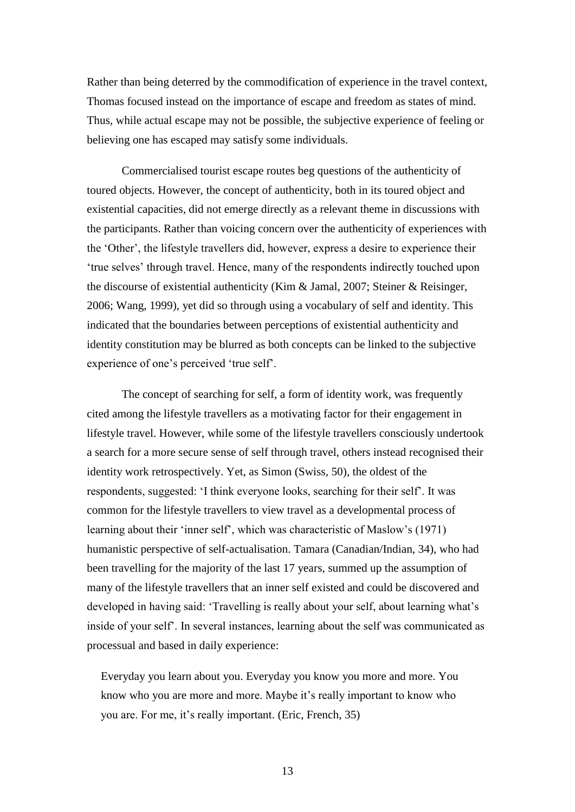Rather than being deterred by the commodification of experience in the travel context, Thomas focused instead on the importance of escape and freedom as states of mind. Thus, while actual escape may not be possible, the subjective experience of feeling or believing one has escaped may satisfy some individuals.

Commercialised tourist escape routes beg questions of the authenticity of toured objects. However, the concept of authenticity, both in its toured object and existential capacities, did not emerge directly as a relevant theme in discussions with the participants. Rather than voicing concern over the authenticity of experiences with the "Other", the lifestyle travellers did, however, express a desire to experience their "true selves" through travel. Hence, many of the respondents indirectly touched upon the discourse of existential authenticity (Kim & Jamal, 2007; Steiner & Reisinger, 2006; Wang, 1999), yet did so through using a vocabulary of self and identity. This indicated that the boundaries between perceptions of existential authenticity and identity constitution may be blurred as both concepts can be linked to the subjective experience of one's perceived 'true self'.

The concept of searching for self, a form of identity work, was frequently cited among the lifestyle travellers as a motivating factor for their engagement in lifestyle travel. However, while some of the lifestyle travellers consciously undertook a search for a more secure sense of self through travel, others instead recognised their identity work retrospectively. Yet, as Simon (Swiss, 50), the oldest of the respondents, suggested: "I think everyone looks, searching for their self". It was common for the lifestyle travellers to view travel as a developmental process of learning about their "inner self", which was characteristic of Maslow"s (1971) humanistic perspective of self-actualisation. Tamara (Canadian/Indian, 34), who had been travelling for the majority of the last 17 years, summed up the assumption of many of the lifestyle travellers that an inner self existed and could be discovered and developed in having said: "Travelling is really about your self, about learning what"s inside of your self". In several instances, learning about the self was communicated as processual and based in daily experience:

Everyday you learn about you. Everyday you know you more and more. You know who you are more and more. Maybe it's really important to know who you are. For me, it"s really important. (Eric, French, 35)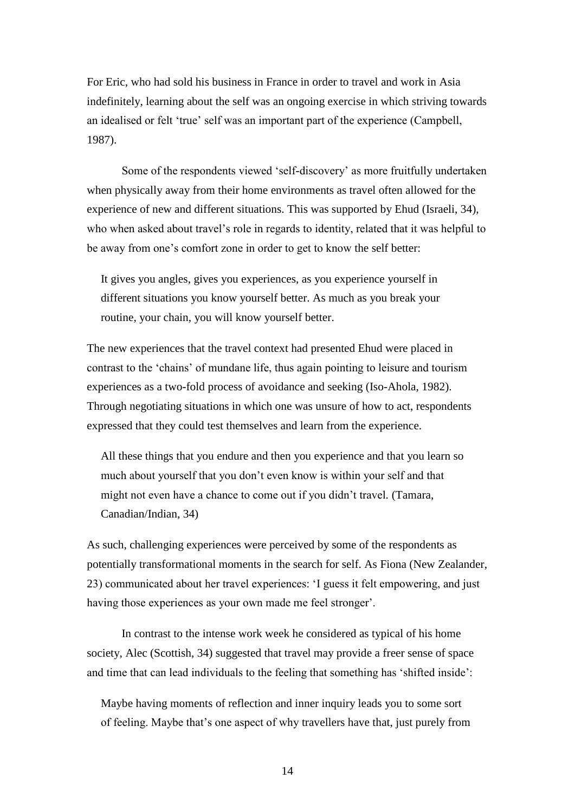For Eric, who had sold his business in France in order to travel and work in Asia indefinitely, learning about the self was an ongoing exercise in which striving towards an idealised or felt 'true' self was an important part of the experience (Campbell, 1987).

Some of the respondents viewed 'self-discovery' as more fruitfully undertaken when physically away from their home environments as travel often allowed for the experience of new and different situations. This was supported by Ehud (Israeli, 34), who when asked about travel"s role in regards to identity, related that it was helpful to be away from one"s comfort zone in order to get to know the self better:

It gives you angles, gives you experiences, as you experience yourself in different situations you know yourself better. As much as you break your routine, your chain, you will know yourself better.

The new experiences that the travel context had presented Ehud were placed in contrast to the "chains" of mundane life, thus again pointing to leisure and tourism experiences as a two-fold process of avoidance and seeking (Iso-Ahola, 1982). Through negotiating situations in which one was unsure of how to act, respondents expressed that they could test themselves and learn from the experience.

All these things that you endure and then you experience and that you learn so much about yourself that you don"t even know is within your self and that might not even have a chance to come out if you didn"t travel*.* (Tamara, Canadian/Indian, 34)

As such, challenging experiences were perceived by some of the respondents as potentially transformational moments in the search for self. As Fiona (New Zealander, 23) communicated about her travel experiences: "I guess it felt empowering, and just having those experiences as your own made me feel stronger'.

In contrast to the intense work week he considered as typical of his home society, Alec (Scottish, 34) suggested that travel may provide a freer sense of space and time that can lead individuals to the feeling that something has "shifted inside":

Maybe having moments of reflection and inner inquiry leads you to some sort of feeling. Maybe that"s one aspect of why travellers have that, just purely from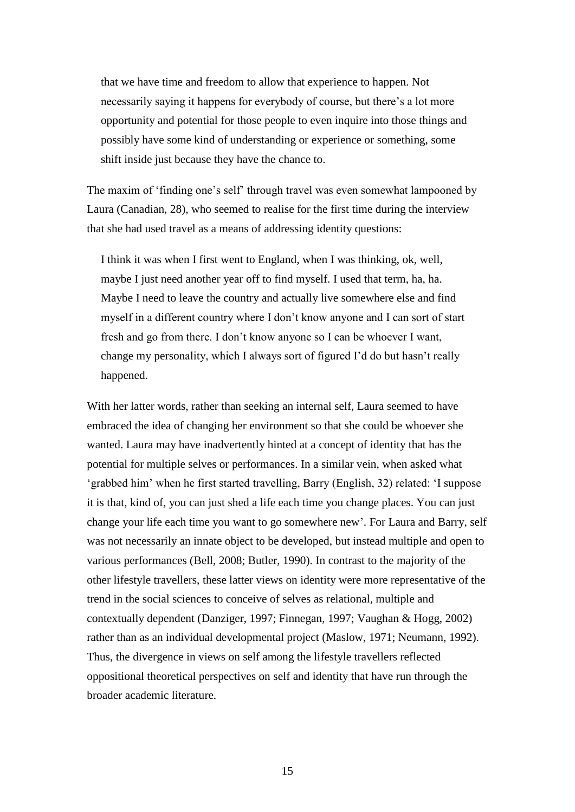that we have time and freedom to allow that experience to happen. Not necessarily saying it happens for everybody of course, but there"s a lot more opportunity and potential for those people to even inquire into those things and possibly have some kind of understanding or experience or something, some shift inside just because they have the chance to.

The maxim of 'finding one's self' through travel was even somewhat lampooned by Laura (Canadian, 28), who seemed to realise for the first time during the interview that she had used travel as a means of addressing identity questions:

I think it was when I first went to England, when I was thinking, ok, well, maybe I just need another year off to find myself. I used that term, ha, ha. Maybe I need to leave the country and actually live somewhere else and find myself in a different country where I don"t know anyone and I can sort of start fresh and go from there. I don"t know anyone so I can be whoever I want, change my personality, which I always sort of figured I"d do but hasn"t really happened.

With her latter words, rather than seeking an internal self, Laura seemed to have embraced the idea of changing her environment so that she could be whoever she wanted. Laura may have inadvertently hinted at a concept of identity that has the potential for multiple selves or performances. In a similar vein, when asked what "grabbed him" when he first started travelling, Barry (English, 32) related: "I suppose it is that, kind of, you can just shed a life each time you change places. You can just change your life each time you want to go somewhere new". For Laura and Barry, self was not necessarily an innate object to be developed, but instead multiple and open to various performances (Bell, 2008; Butler, 1990). In contrast to the majority of the other lifestyle travellers, these latter views on identity were more representative of the trend in the social sciences to conceive of selves as relational, multiple and contextually dependent (Danziger, 1997; Finnegan, 1997; Vaughan & Hogg, 2002) rather than as an individual developmental project (Maslow, 1971; Neumann, 1992). Thus, the divergence in views on self among the lifestyle travellers reflected oppositional theoretical perspectives on self and identity that have run through the broader academic literature.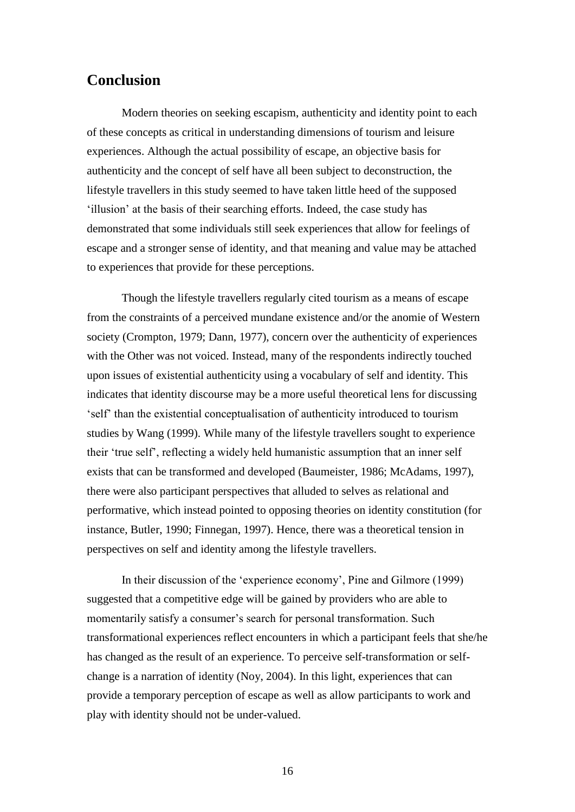## **Conclusion**

Modern theories on seeking escapism, authenticity and identity point to each of these concepts as critical in understanding dimensions of tourism and leisure experiences. Although the actual possibility of escape, an objective basis for authenticity and the concept of self have all been subject to deconstruction, the lifestyle travellers in this study seemed to have taken little heed of the supposed "illusion" at the basis of their searching efforts. Indeed, the case study has demonstrated that some individuals still seek experiences that allow for feelings of escape and a stronger sense of identity, and that meaning and value may be attached to experiences that provide for these perceptions.

Though the lifestyle travellers regularly cited tourism as a means of escape from the constraints of a perceived mundane existence and/or the anomie of Western society (Crompton, 1979; Dann, 1977), concern over the authenticity of experiences with the Other was not voiced. Instead, many of the respondents indirectly touched upon issues of existential authenticity using a vocabulary of self and identity. This indicates that identity discourse may be a more useful theoretical lens for discussing "self" than the existential conceptualisation of authenticity introduced to tourism studies by Wang (1999). While many of the lifestyle travellers sought to experience their "true self", reflecting a widely held humanistic assumption that an inner self exists that can be transformed and developed (Baumeister, 1986; McAdams, 1997), there were also participant perspectives that alluded to selves as relational and performative, which instead pointed to opposing theories on identity constitution (for instance, Butler, 1990; Finnegan, 1997). Hence, there was a theoretical tension in perspectives on self and identity among the lifestyle travellers.

In their discussion of the "experience economy", Pine and Gilmore (1999) suggested that a competitive edge will be gained by providers who are able to momentarily satisfy a consumer's search for personal transformation. Such transformational experiences reflect encounters in which a participant feels that she/he has changed as the result of an experience. To perceive self-transformation or selfchange is a narration of identity (Noy, 2004). In this light, experiences that can provide a temporary perception of escape as well as allow participants to work and play with identity should not be under-valued.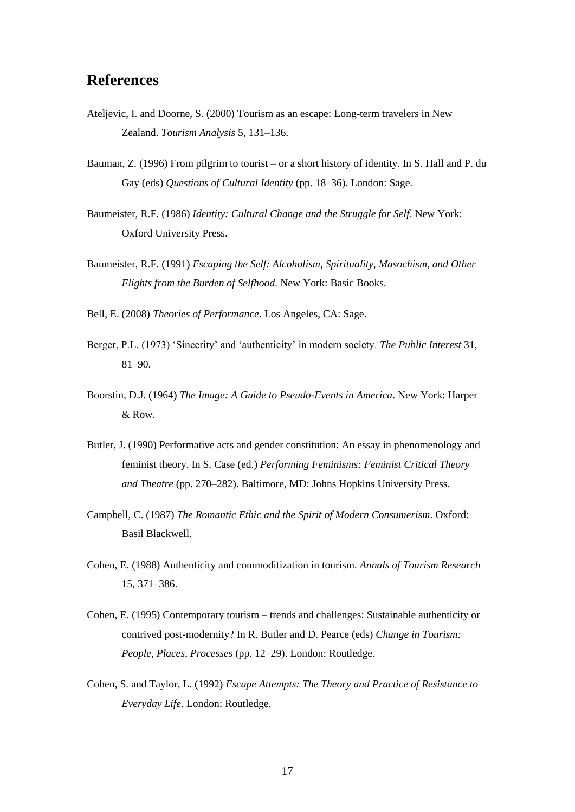## **References**

- Ateljevic, I. and Doorne, S. (2000) Tourism as an escape: Long-term travelers in New Zealand. *Tourism Analysis* 5, 131–136.
- Bauman, Z. (1996) From pilgrim to tourist or a short history of identity. In S. Hall and P. du Gay (eds) *Questions of Cultural Identity* (pp. 18–36). London: Sage.
- Baumeister, R.F. (1986) *Identity: Cultural Change and the Struggle for Self*. New York: Oxford University Press.
- Baumeister, R.F. (1991) *Escaping the Self: Alcoholism, Spirituality, Masochism, and Other Flights from the Burden of Selfhood*. New York: Basic Books.

Bell, E. (2008) *Theories of Performance*. Los Angeles, CA: Sage.

- Berger, P.L. (1973) "Sincerity" and "authenticity" in modern society. *The Public Interest* 31, 81–90.
- Boorstin, D.J. (1964) *The Image: A Guide to Pseudo-Events in America*. New York: Harper & Row.
- Butler, J. (1990) Performative acts and gender constitution: An essay in phenomenology and feminist theory. In S. Case (ed.) *Performing Feminisms: Feminist Critical Theory and Theatre* (pp. 270–282). Baltimore, MD: Johns Hopkins University Press.
- Campbell, C. (1987) *The Romantic Ethic and the Spirit of Modern Consumerism*. Oxford: Basil Blackwell.
- Cohen, E. (1988) Authenticity and commoditization in tourism. *Annals of Tourism Research* 15, 371–386.
- Cohen, E. (1995) Contemporary tourism trends and challenges: Sustainable authenticity or contrived post-modernity? In R. Butler and D. Pearce (eds) *Change in Tourism: People, Places, Processes* (pp. 12–29). London: Routledge.
- Cohen, S. and Taylor, L. (1992) *Escape Attempts: The Theory and Practice of Resistance to Everyday Life*. London: Routledge.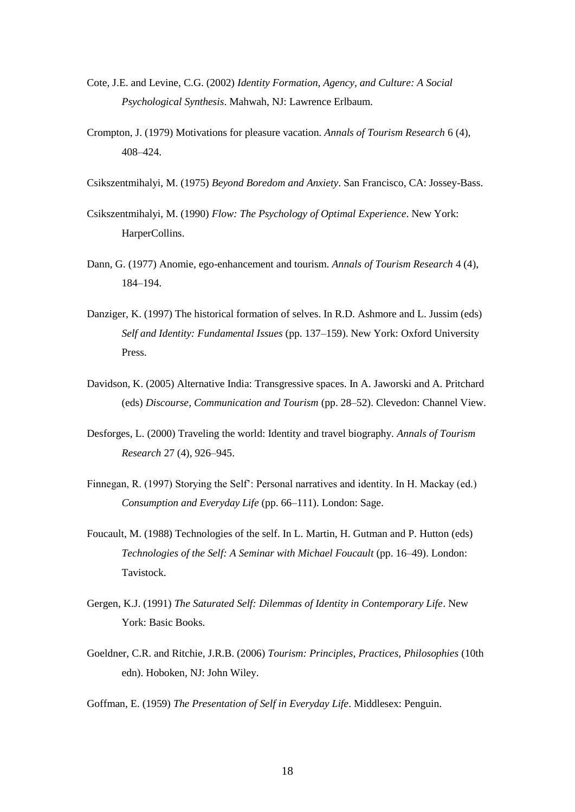- Cote, J.E. and Levine, C.G. (2002) *Identity Formation, Agency, and Culture: A Social Psychological Synthesis*. Mahwah, NJ: Lawrence Erlbaum.
- Crompton, J. (1979) Motivations for pleasure vacation. *Annals of Tourism Research* 6 (4), 408–424.
- Csikszentmihalyi, M. (1975) *Beyond Boredom and Anxiety*. San Francisco, CA: Jossey-Bass.
- Csikszentmihalyi, M. (1990) *Flow: The Psychology of Optimal Experience*. New York: HarperCollins.
- Dann, G. (1977) Anomie, ego-enhancement and tourism. *Annals of Tourism Research* 4 (4), 184–194.
- Danziger, K. (1997) The historical formation of selves. In R.D. Ashmore and L. Jussim (eds) *Self and Identity: Fundamental Issues* (pp. 137–159). New York: Oxford University Press.
- Davidson, K. (2005) Alternative India: Transgressive spaces. In A. Jaworski and A. Pritchard (eds) *Discourse, Communication and Tourism* (pp. 28–52). Clevedon: Channel View.
- Desforges, L. (2000) Traveling the world: Identity and travel biography. *Annals of Tourism Research* 27 (4), 926–945.
- Finnegan, R. (1997) Storying the Self": Personal narratives and identity. In H. Mackay (ed.) *Consumption and Everyday Life* (pp. 66–111). London: Sage.
- Foucault, M. (1988) Technologies of the self. In L. Martin, H. Gutman and P. Hutton (eds) *Technologies of the Self: A Seminar with Michael Foucault* (pp. 16–49). London: Tavistock.
- Gergen, K.J. (1991) *The Saturated Self: Dilemmas of Identity in Contemporary Life*. New York: Basic Books.
- Goeldner, C.R. and Ritchie, J.R.B. (2006) *Tourism: Principles, Practices, Philosophies* (10th edn). Hoboken, NJ: John Wiley.

Goffman, E. (1959) *The Presentation of Self in Everyday Life*. Middlesex: Penguin.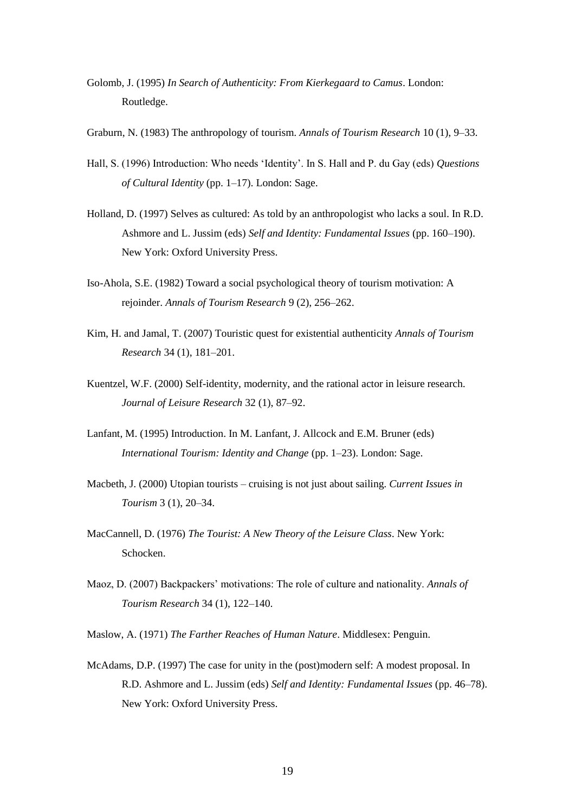- Golomb, J. (1995) *In Search of Authenticity: From Kierkegaard to Camus*. London: Routledge.
- Graburn, N. (1983) The anthropology of tourism. *Annals of Tourism Research* 10 (1), 9–33.
- Hall, S. (1996) Introduction: Who needs "Identity". In S. Hall and P. du Gay (eds) *Questions of Cultural Identity* (pp. 1–17). London: Sage.
- Holland, D. (1997) Selves as cultured: As told by an anthropologist who lacks a soul. In R.D. Ashmore and L. Jussim (eds) *Self and Identity: Fundamental Issues* (pp. 160–190). New York: Oxford University Press.
- Iso-Ahola, S.E. (1982) Toward a social psychological theory of tourism motivation: A rejoinder. *Annals of Tourism Research* 9 (2), 256–262.
- Kim, H. and Jamal, T. (2007) Touristic quest for existential authenticity *Annals of Tourism Research* 34 (1), 181–201.
- Kuentzel, W.F. (2000) Self-identity, modernity, and the rational actor in leisure research. *Journal of Leisure Research* 32 (1), 87–92.
- Lanfant, M. (1995) Introduction. In M. Lanfant, J. Allcock and E.M. Bruner (eds) *International Tourism: Identity and Change* (pp. 1–23). London: Sage.
- Macbeth, J. (2000) Utopian tourists cruising is not just about sailing. *Current Issues in Tourism* 3 (1), 20–34.
- MacCannell, D. (1976) *The Tourist: A New Theory of the Leisure Class*. New York: Schocken.
- Maoz, D. (2007) Backpackers" motivations: The role of culture and nationality. *Annals of Tourism Research* 34 (1), 122–140.

Maslow, A. (1971) *The Farther Reaches of Human Nature*. Middlesex: Penguin.

McAdams, D.P. (1997) The case for unity in the (post)modern self: A modest proposal. In R.D. Ashmore and L. Jussim (eds) *Self and Identity: Fundamental Issues* (pp. 46–78). New York: Oxford University Press.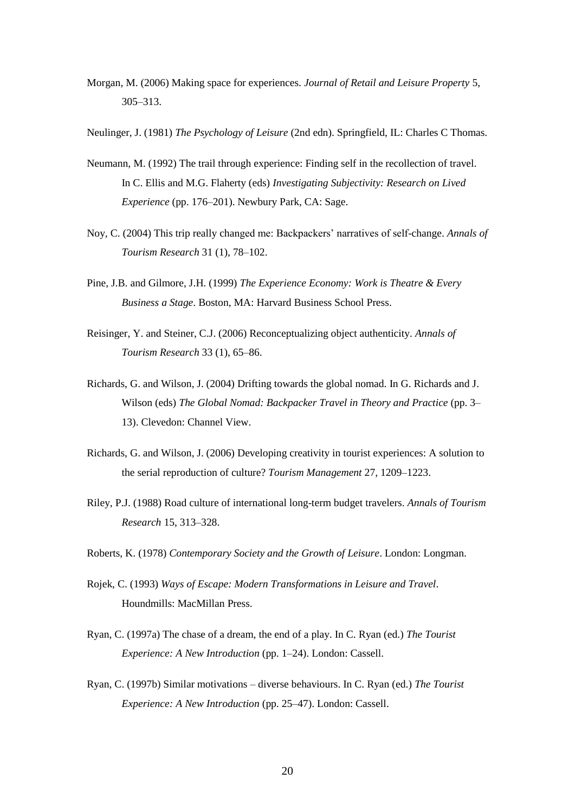- Morgan, M. (2006) Making space for experiences. *Journal of Retail and Leisure Property* 5, 305–313.
- Neulinger, J. (1981) *The Psychology of Leisure* (2nd edn). Springfield, IL: Charles C Thomas.
- Neumann, M. (1992) The trail through experience: Finding self in the recollection of travel. In C. Ellis and M.G. Flaherty (eds) *Investigating Subjectivity: Research on Lived Experience* (pp. 176–201). Newbury Park, CA: Sage.
- Noy, C. (2004) This trip really changed me: Backpackers" narratives of self-change. *Annals of Tourism Research* 31 (1), 78–102.
- Pine, J.B. and Gilmore, J.H. (1999) *The Experience Economy: Work is Theatre & Every Business a Stage*. Boston, MA: Harvard Business School Press.
- Reisinger, Y. and Steiner, C.J. (2006) Reconceptualizing object authenticity. *Annals of Tourism Research* 33 (1), 65–86.
- Richards, G. and Wilson, J. (2004) Drifting towards the global nomad. In G. Richards and J. Wilson (eds) *The Global Nomad: Backpacker Travel in Theory and Practice* (pp. 3– 13). Clevedon: Channel View.
- Richards, G. and Wilson, J. (2006) Developing creativity in tourist experiences: A solution to the serial reproduction of culture? *Tourism Management* 27, 1209–1223.
- Riley, P.J. (1988) Road culture of international long-term budget travelers. *Annals of Tourism Research* 15, 313–328.
- Roberts, K. (1978) *Contemporary Society and the Growth of Leisure*. London: Longman.
- Rojek, C. (1993) *Ways of Escape: Modern Transformations in Leisure and Travel*. Houndmills: MacMillan Press.
- Ryan, C. (1997a) The chase of a dream, the end of a play. In C. Ryan (ed.) *The Tourist Experience: A New Introduction* (pp. 1–24). London: Cassell.
- Ryan, C. (1997b) Similar motivations diverse behaviours. In C. Ryan (ed.) *The Tourist Experience: A New Introduction* (pp. 25–47). London: Cassell.